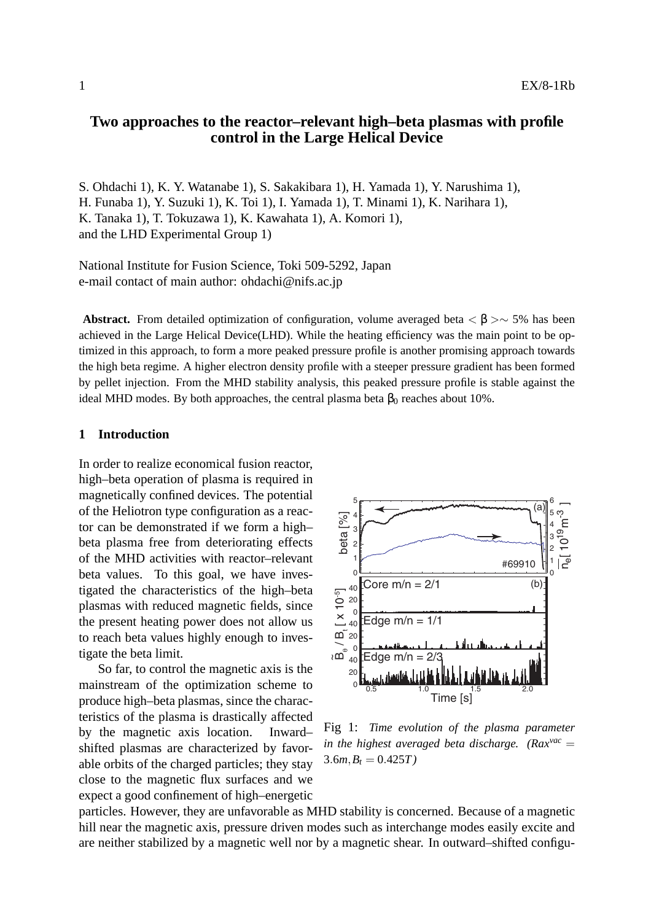# **Two approaches to the reactor–relevant high–beta plasmas with profile control in the Large Helical Device**

S. Ohdachi 1), K. Y. Watanabe 1), S. Sakakibara 1), H. Yamada 1), Y. Narushima 1), H. Funaba 1), Y. Suzuki 1), K. Toi 1), I. Yamada 1), T. Minami 1), K. Narihara 1), K. Tanaka 1), T. Tokuzawa 1), K. Kawahata 1), A. Komori 1), and the LHD Experimental Group 1)

National Institute for Fusion Science, Toki 509-5292, Japan e-mail contact of main author: ohdachi@nifs.ac.jp

**Abstract.** From detailed optimization of configuration, volume averaged beta  $\lt$   $\beta$  >  $\sim$  5% has been achieved in the Large Helical Device(LHD). While the heating efficiency was the main point to be optimized in this approach, to form a more peaked pressure profile is another promising approach towards the high beta regime. A higher electron density profile with a steeper pressure gradient has been formed by pellet injection. From the MHD stability analysis, this peaked pressure profile is stable against the ideal MHD modes. By both approaches, the central plasma beta  $\beta_0$  reaches about 10%.

## **1 Introduction**

In order to realize economical fusion reactor, high–beta operation of plasma is required in magnetically confined devices. The potential of the Heliotron type configuration as a reactor can be demonstrated if we form a high– beta plasma free from deteriorating effects of the MHD activities with reactor–relevant beta values. To this goal, we have investigated the characteristics of the high–beta plasmas with reduced magnetic fields, since the present heating power does not allow us to reach beta values highly enough to investigate the beta limit.

So far, to control the magnetic axis is the mainstream of the optimization scheme to produce high–beta plasmas, since the characteristics of the plasma is drastically affected by the magnetic axis location. Inward– shifted plasmas are characterized by favorable orbits of the charged particles; they stay close to the magnetic flux surfaces and we expect a good confinement of high–energetic



Fig 1: *Time evolution of the plasma parameter in the highest averaged beta discharge.* ( $Rax^{vac} =$  $3.6m, B_t = 0.425T$ 

particles. However, they are unfavorable as MHD stability is concerned. Because of a magnetic hill near the magnetic axis, pressure driven modes such as interchange modes easily excite and are neither stabilized by a magnetic well nor by a magnetic shear. In outward–shifted configu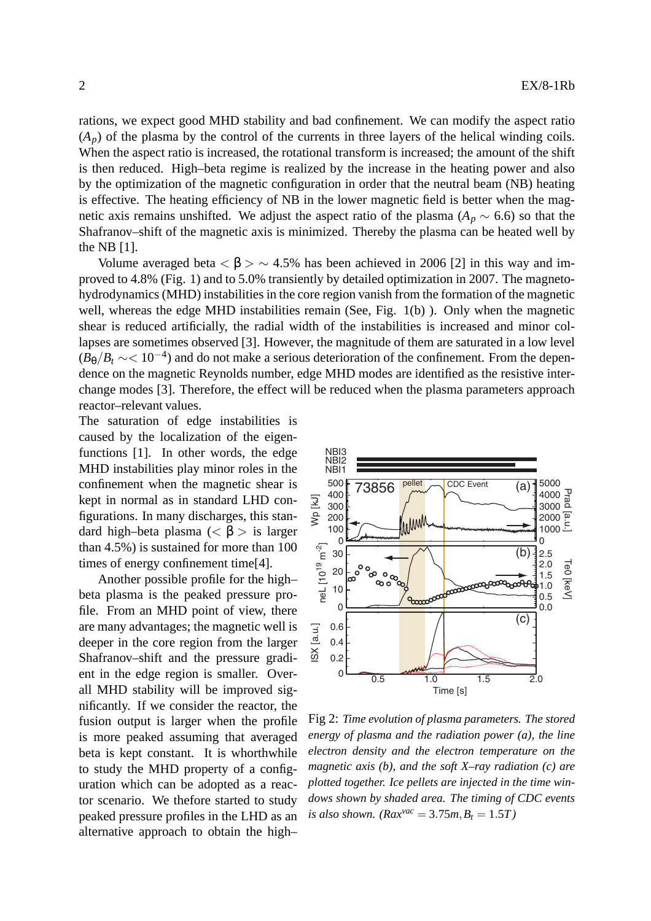rations, we expect good MHD stability and bad confinement. We can modify the aspect ratio  $(A_p)$  of the plasma by the control of the currents in three layers of the helical winding coils. When the aspect ratio is increased, the rotational transform is increased; the amount of the shift is then reduced. High–beta regime is realized by the increase in the heating power and also by the optimization of the magnetic configuration in order that the neutral beam (NB) heating is effective. The heating efficiency of NB in the lower magnetic field is better when the magnetic axis remains unshifted. We adjust the aspect ratio of the plasma ( $A_p \sim 6.6$ ) so that the Shafranov–shift of the magnetic axis is minimized. Thereby the plasma can be heated well by the NB [1].

Volume averaged beta  $\langle \beta \rangle \sim 4.5\%$  has been achieved in 2006 [2] in this way and improved to 4.8% (Fig. 1) and to 5.0% transiently by detailed optimization in 2007. The magnetohydrodynamics (MHD) instabilities in the core region vanish from the formation of the magnetic well, whereas the edge MHD instabilities remain (See, Fig. 1(b)). Only when the magnetic shear is reduced artificially, the radial width of the instabilities is increased and minor collapses are sometimes observed [3]. However, the magnitude of them are saturated in a low level  $(B_\theta/B_t \sim 10^{-4})$  and do not make a serious deterioration of the confinement. From the dependence on the magnetic Reynolds number, edge MHD modes are identified as the resistive interchange modes [3]. Therefore, the effect will be reduced when the plasma parameters approach reactor–relevant values. .

The saturation of edge instabilities is caused by the localization of the eigenfunctions [1]. In other words, the edge MHD instabilities play minor roles in the confinement when the magnetic shear is kept in normal as in standard LHD configurations. In many discharges, this standard high–beta plasma (*<* β *>* is larger than 4.5%) is sustained for more than 100 times of energy confinement time[4].

Another possible profile for the high– beta plasma is the peaked pressure profile. From an MHD point of view, there are many advantages; the magnetic well is deeper in the core region from the larger Shafranov–shift and the pressure gradient in the edge region is smaller. Overall MHD stability will be improved significantly. If we consider the reactor, the fusion output is larger when the profile is more peaked assuming that averaged beta is kept constant. It is whorthwhile to study the MHD property of a configuration which can be adopted as a reactor scenario. We thefore started to study peaked pressure profiles in the LHD as an alternative approach to obtain the high–



Fig 2: *Time evolution of plasma parameters. The stored energy of plasma and the radiation power (a), the line electron density and the electron temperature on the magnetic axis (b), and the soft X–ray radiation (c) are plotted together. Ice pellets are injected in the time windows shown by shaded area. The timing of CDC events is also shown.* ( $Rax^{vac} = 3.75m, B_t = 1.5T$ )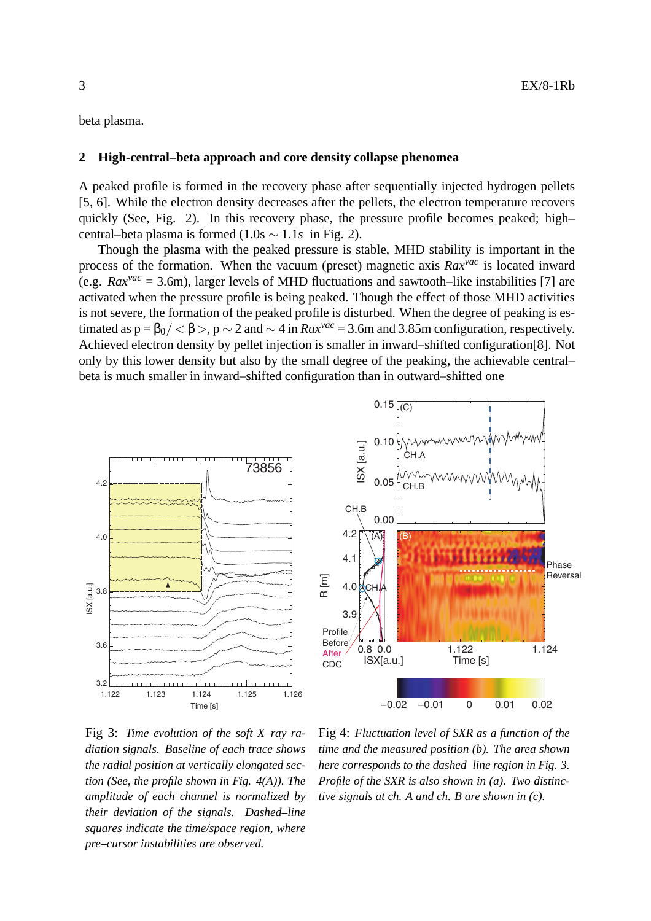beta plasma.

# **2 High-central–beta approach and core density collapse phenomea**

A peaked profile is formed in the recovery phase after sequentially injected hydrogen pellets [5, 6]. While the electron density decreases after the pellets, the electron temperature recovers quickly (See, Fig. 2). In this recovery phase, the pressure profile becomes peaked; high– central–beta plasma is formed  $(1.0s \sim 1.1s)$  in Fig. 2).

Though the plasma with the peaked pressure is stable, MHD stability is important in the process of the formation. When the vacuum (preset) magnetic axis *Raxvac* is located inward (e.g.  $Rax^{vac} = 3.6$ m), larger levels of MHD fluctuations and sawtooth–like instabilities [7] are activated when the pressure profile is being peaked. Though the effect of those MHD activities is not severe, the formation of the peaked profile is disturbed. When the degree of peaking is estimated as  $p = \frac{\beta_0}{\langle \xi \rangle}$ ,  $p \sim 2$  and  $\sim 4$  in  $Rax^{vac} = 3.6$ m and 3.85m configuration, respectively. Achieved electron density by pellet injection is smaller in inward–shifted configuration[8]. Not only by this lower density but also by the small degree of the peaking, the achievable central– beta is much smaller in inward–shifted configuration than in outward–shifted one

 $0.15\sqrt{C}$ 



Fig 3: *Time evolution of the soft X–ray radiation signals. Baseline of each trace shows the radial position at vertically elongated section (See, the profile shown in Fig. 4(A)). The amplitude of each channel is normalized by their deviation of the signals. Dashed–line squares indicate the time/space region, where pre–cursor instabilities are observed.*

Fig 4: *Fluctuation level of SXR as a function of the time and the measured position (b). The area shown here corresponds to the dashed–line region in Fig. 3. Profile of the SXR is also shown in (a). Two distinctive signals at ch. A and ch. B are shown in (c).*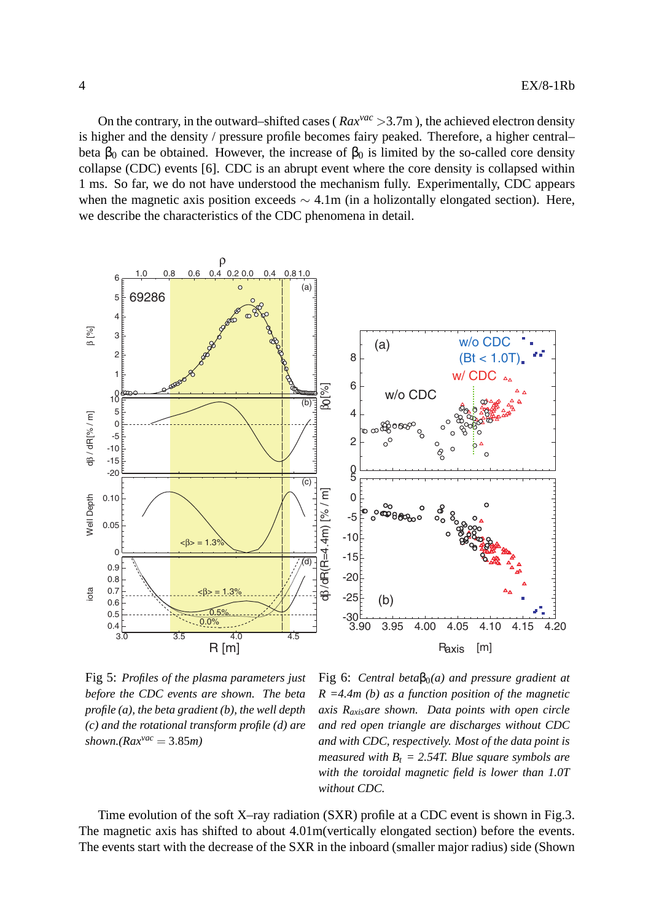On the contrary, in the outward–shifted cases ( *Raxvac >*3.7m ), the achieved electron density is higher and the density / pressure profile becomes fairy peaked. Therefore, a higher central– beta  $\beta_0$  can be obtained. However, the increase of  $\beta_0$  is limited by the so-called core density collapse (CDC) events [6]. CDC is an abrupt event where the core density is collapsed within 1 ms. So far, we do not have understood the mechanism fully. Experimentally, CDC appears when the magnetic axis position exceeds *∼* 4.1m (in a holizontally elongated section). Here, we describe the characteristics of the CDC phenomena in detail.



Fig 5: *Profiles of the plasma parameters just before the CDC events are shown. The beta profile (a), the beta gradient (b), the well depth (c) and the rotational transform profile (d) are*  $shown.(Rax^{vac} = 3.85m)$ 

Fig 6: *Central beta* $\beta_0(a)$  *and pressure gradient at R =4.4m (b) as a function position of the magnetic axis Raxisare shown. Data points with open circle and red open triangle are discharges without CDC and with CDC, respectively. Most of the data point is measured with*  $B_t = 2.54T$ . Blue square symbols are *with the toroidal magnetic field is lower than 1.0T without CDC.*

Time evolution of the soft X–ray radiation (SXR) profile at a CDC event is shown in Fig.3. The magnetic axis has shifted to about 4.01m(vertically elongated section) before the events. The events start with the decrease of the SXR in the inboard (smaller major radius) side (Shown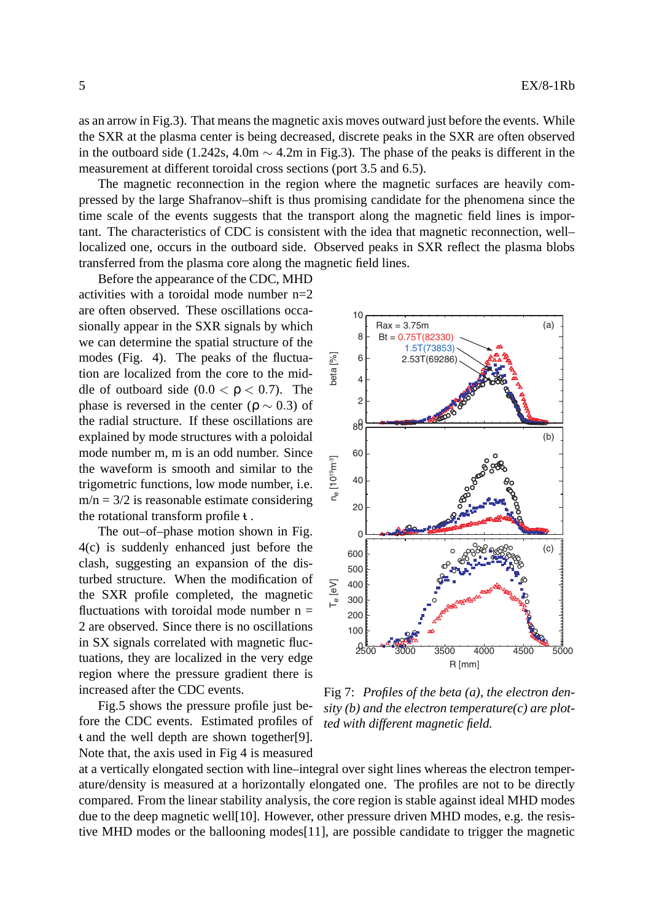as an arrow in Fig.3). That means the magnetic axis moves outward just before the events. While the SXR at the plasma center is being decreased, discrete peaks in the SXR are often observed in the outboard side (1.242s, 4.0m *∼* 4.2m in Fig.3). The phase of the peaks is different in the measurement at different toroidal cross sections (port 3.5 and 6.5).

The magnetic reconnection in the region where the magnetic surfaces are heavily compressed by the large Shafranov–shift is thus promising candidate for the phenomena since the time scale of the events suggests that the transport along the magnetic field lines is important. The characteristics of CDC is consistent with the idea that magnetic reconnection, well– localized one, occurs in the outboard side. Observed peaks in SXR reflect the plasma blobs transferred from the plasma core along the magnetic field lines.

Before the appearance of the CDC, MHD activities with a toroidal mode number  $n=2$ are often observed. These oscillations occasionally appear in the SXR signals by which we can determine the spatial structure of the modes (Fig. 4). The peaks of the fluctuation are localized from the core to the middle of outboard side  $(0.0 < \rho < 0.7)$ . The phase is reversed in the center ( $\rho \sim 0.3$ ) of the radial structure. If these oscillations are explained by mode structures with a poloidal mode number m, m is an odd number. Since the waveform is smooth and similar to the trigometric functions, low mode number, i.e.  $m/n = 3/2$  is reasonable estimate considering the rotational transform profile  $t$ .

The out–of–phase motion shown in Fig. 4(c) is suddenly enhanced just before the clash, suggesting an expansion of the disturbed structure. When the modification of the SXR profile completed, the magnetic fluctuations with toroidal mode number  $n =$ 2 are observed. Since there is no oscillations in SX signals correlated with magnetic fluctuations, they are localized in the very edge region where the pressure gradient there is increased after the CDC events.

Fig.5 shows the pressure profile just before the CDC events. Estimated profiles of t and the well depth are shown together[9]. Note that, the axis used in Fig 4 is measured



Fig 7: *Profiles of the beta (a), the electron density (b) and the electron temperature(c) are plotted with different magnetic field.*

at a vertically elongated section with line–integral over sight lines whereas the electron temperature/density is measured at a horizontally elongated one. The profiles are not to be directly compared. From the linear stability analysis, the core region is stable against ideal MHD modes due to the deep magnetic well[10]. However, other pressure driven MHD modes, e.g. the resistive MHD modes or the ballooning modes[11], are possible candidate to trigger the magnetic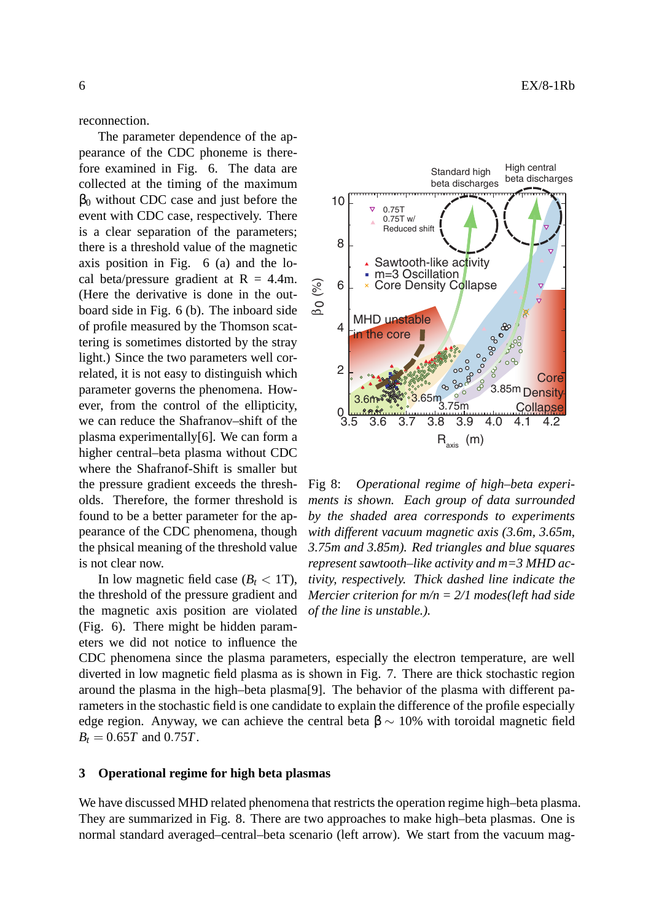reconnection.

The parameter dependence of the appearance of the CDC phoneme is therefore examined in Fig. 6. The data are collected at the timing of the maximum  $β<sub>0</sub>$  without CDC case and just before the event with CDC case, respectively. There is a clear separation of the parameters; there is a threshold value of the magnetic axis position in Fig. 6 (a) and the local beta/pressure gradient at  $R = 4.4$ m. (Here the derivative is done in the outboard side in Fig. 6 (b). The inboard side of profile measured by the Thomson scattering is sometimes distorted by the stray light.) Since the two parameters well correlated, it is not easy to distinguish which parameter governs the phenomena. However, from the control of the ellipticity, we can reduce the Shafranov–shift of the plasma experimentally[6]. We can form a higher central–beta plasma without CDC where the Shafranof-Shift is smaller but the pressure gradient exceeds the thresholds. Therefore, the former threshold is found to be a better parameter for the appearance of the CDC phenomena, though the phsical meaning of the threshold value is not clear now.

In low magnetic field case  $(B_t < 1T)$ , the threshold of the pressure gradient and the magnetic axis position are violated (Fig. 6). There might be hidden parameters we did not notice to influence the

Standard high beta discharges 10 0.75T 0.75T w/ Reduced shift 8 Sawtooth-like activity<br>m=3 Oscillation è 6 Core Density Collapse  $\overline{\mathbf{v}}$ MHD unstable  $80^{\circ}$  4  $\int_{0}^{\infty}$ in the core ಿ ಹಿಂಂ<br>ಹಿಂಂ  $\frac{15}{200}$  2  $\infty$ **Core** 3.85m Density- $3.6<sub>m</sub>$ 3.75m **Collapse** <u>၉ ရက္ခ်က္</u>  $0\frac{1}{3.5}$  3.5 3.6 3.7 3.8 3.9 4.0 4.1 4.2  $R_{axis}$  (m)

Fig 8: *Operational regime of high–beta experiments is shown. Each group of data surrounded by the shaded area corresponds to experiments with different vacuum magnetic axis (3.6m, 3.65m, 3.75m and 3.85m). Red triangles and blue squares represent sawtooth–like activity and m=3 MHD activity, respectively. Thick dashed line indicate the Mercier criterion for m/n = 2/1 modes(left had side of the line is unstable.).*

CDC phenomena since the plasma parameters, especially the electron temperature, are well diverted in low magnetic field plasma as is shown in Fig. 7. There are thick stochastic region around the plasma in the high–beta plasma[9]. The behavior of the plasma with different parameters in the stochastic field is one candidate to explain the difference of the profile especially edge region. Anyway, we can achieve the central beta  $\beta \sim 10\%$  with toroidal magnetic field  $B_t = 0.65T$  and 0.75*T*.

#### **3 Operational regime for high beta plasmas**

We have discussed MHD related phenomena that restricts the operation regime high–beta plasma. They are summarized in Fig. 8. There are two approaches to make high–beta plasmas. One is normal standard averaged–central–beta scenario (left arrow). We start from the vacuum mag-

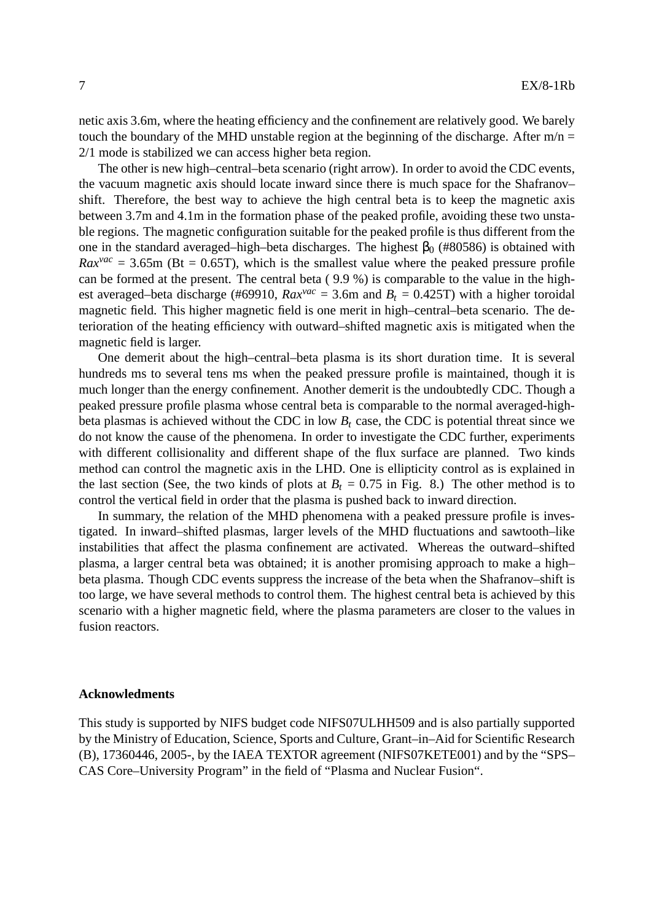netic axis 3.6m, where the heating efficiency and the confinement are relatively good. We barely touch the boundary of the MHD unstable region at the beginning of the discharge. After  $m/n =$ 2/1 mode is stabilized we can access higher beta region.

The other is new high–central–beta scenario (right arrow). In order to avoid the CDC events, the vacuum magnetic axis should locate inward since there is much space for the Shafranov– shift. Therefore, the best way to achieve the high central beta is to keep the magnetic axis between 3.7m and 4.1m in the formation phase of the peaked profile, avoiding these two unstable regions. The magnetic configuration suitable for the peaked profile is thus different from the one in the standard averaged–high–beta discharges. The highest  $\beta_0$  (#80586) is obtained with  $Rax^{vac} = 3.65$ m (Bt = 0.65T), which is the smallest value where the peaked pressure profile can be formed at the present. The central beta ( 9.9 %) is comparable to the value in the highest averaged–beta discharge (#69910,  $Rax^{vac} = 3.6$ m and  $B_t = 0.425$ T) with a higher toroidal magnetic field. This higher magnetic field is one merit in high–central–beta scenario. The deterioration of the heating efficiency with outward–shifted magnetic axis is mitigated when the magnetic field is larger.

One demerit about the high–central–beta plasma is its short duration time. It is several hundreds ms to several tens ms when the peaked pressure profile is maintained, though it is much longer than the energy confinement. Another demerit is the undoubtedly CDC. Though a peaked pressure profile plasma whose central beta is comparable to the normal averaged-highbeta plasmas is achieved without the CDC in low  $B_t$  case, the CDC is potential threat since we do not know the cause of the phenomena. In order to investigate the CDC further, experiments with different collisionality and different shape of the flux surface are planned. Two kinds method can control the magnetic axis in the LHD. One is ellipticity control as is explained in the last section (See, the two kinds of plots at  $B_t = 0.75$  in Fig. 8.) The other method is to control the vertical field in order that the plasma is pushed back to inward direction.

In summary, the relation of the MHD phenomena with a peaked pressure profile is investigated. In inward–shifted plasmas, larger levels of the MHD fluctuations and sawtooth–like instabilities that affect the plasma confinement are activated. Whereas the outward–shifted plasma, a larger central beta was obtained; it is another promising approach to make a high– beta plasma. Though CDC events suppress the increase of the beta when the Shafranov–shift is too large, we have several methods to control them. The highest central beta is achieved by this scenario with a higher magnetic field, where the plasma parameters are closer to the values in fusion reactors.

# **Acknowledments**

This study is supported by NIFS budget code NIFS07ULHH509 and is also partially supported by the Ministry of Education, Science, Sports and Culture, Grant–in–Aid for Scientific Research (B), 17360446, 2005-, by the IAEA TEXTOR agreement (NIFS07KETE001) and by the "SPS– CAS Core–University Program" in the field of "Plasma and Nuclear Fusion".